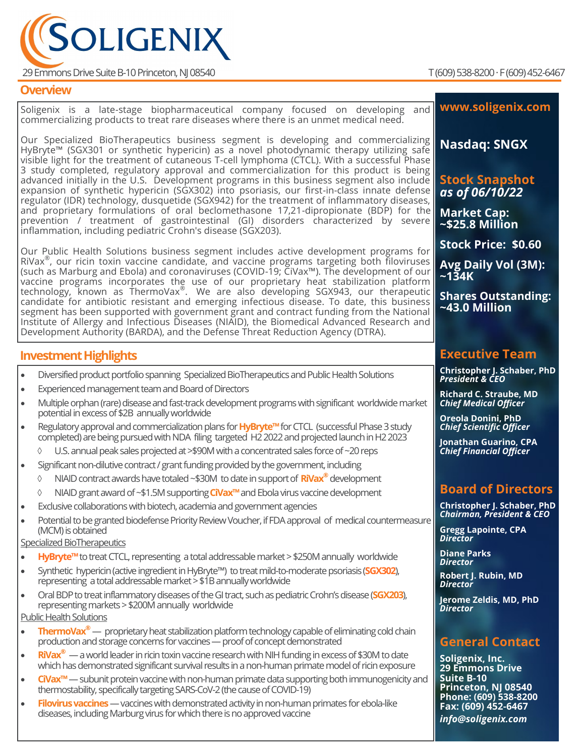

29 Emmons Drive Suite B-10 Princeton, NJ 08540 T (609) 538-8200 · F (609) 452-6467

**Overview**

## **Investment Highlights** • Diversified product portfolio spanning Specialized BioTherapeutics and Public Health Solutions • Experienced management team and Board of Directors • Multiple orphan (rare) disease and fast-track development programs with significant worldwide market potential in excess of \$2B annually worldwide • Regulatory approval and commercialization plans for **HyBryte™**for CTCL (successful Phase 3 study completed) are being pursued with NDA filing targeted H2 2022 and projected launch in H2 2023 U.S. annual peak sales projected at >\$90M with a concentrated sales force of ~20 reps • Significant non-dilutive contract / grant funding provided by the government, including NIAID contract awards have totaled ~\$30M to date in support of **RiVax®** development NIAID grant award of ~\$1.5M supporting **CiVax™** and Ebola virus vaccine development • Exclusive collaborations with biotech, academia and government agencies • Potential to be granted biodefense Priority Review Voucher, if FDA approval of medical countermeasure (MCM) is obtained Specialized BioTherapeutics • **HyBryte™** to treat CTCL, representing a total addressable market > \$250M annually worldwide • Synthetic hypericin (active ingredient in HyBryte™) to treat mild-to-moderate psoriasis (**SGX302**), representing a total addressable market > \$1B annually worldwide • Oral BDP to treat inflammatory diseases of the GI tract, such as pediatric Crohn's disease (**SGX203**), representing markets > \$200M annually worldwide Public Health Solutions • **ThermoVax®**— proprietary heat stabilization platform technology capable of eliminating cold chain production and storage concerns for vaccines —proof of concept demonstrated • **RiVax®** —a world leader in ricin toxin vaccine research with NIH funding in excess of \$30M to date which has demonstrated significant survival results in a non-human primate model of ricin exposure • **CiVax™**—subunit protein vaccine with non-human primate data supporting both immunogenicity and thermostability, specifically targeting SARS-CoV-2 (the cause of COVID-19) • **Filovirus vaccines** —vaccines with demonstrated activity in non-human primates for ebola-like diseases, including Marburg virus for which there is no approved vaccine Soligenix is a late-stage biopharmaceutical company focused on developing and commercializing products to treat rare diseases where there is an unmet medical need. Our Specialized BioTherapeutics business segment is developing and commercializing HyBryte™ (SGX301 or synthetic hypericin) as a novel photodynamic therapy utilizing safe visible light for the treatment of cutaneous T-cell lymphoma (CTCL). With a successful Phase 3 study completed, regulatory approval and commercialization for this product is being advanced initially in the U.S. Development programs in this business segment also include expansion of synthetic hypericin (SGX302) into psoriasis, our first-in-class innate defense regulator (IDR) technology, dusquetide (SGX942) for the treatment of inflammatory diseases, and proprietary formulations of oral beclomethasone 17,21-dipropionate (BDP) for the prevention / treatment of gastrointestinal (GI) disorders characterized by severe inflammation, including pediatric Crohn's disease (SGX203). Our Public Health Solutions business segment includes active development programs for RiVax®, our ricin toxin vaccine candidate, and vaccine programs targeting both filoviruses (such as Marburg and Ebola) and coronaviruses (COVID-19; CiVax™). The development of our vaccine programs incorporates the use of our proprietary heat stabilization platform technology, known as ThermoVax® . We are also developing SGX943, our therapeutic candidate for antibiotic resistant and emerging infectious disease. To date, this business segment has been supported with government grant and contract funding from the National Institute of Allergy and Infectious Diseases (NIAID), the Biomedical Advanced Research and Development Authority (BARDA), and the Defense Threat Reduction Agency (DTRA). **www.soligenix.com Nasdaq: SNGX Stock Snapshot**  *as of 06/10/22* **Market Cap: ~\$25.8 Million Stock Price: \$0.60 Avg Daily Vol (3M): ~134K Shares Outstanding: ~43.0 Million Executive Team Christopher J. Schaber, PhD** *President & CEO* **Richard C. Straube, MD** *Chief Medical Officer* **Oreola Donini, PhD** *Chief Scientific Officer* **Jonathan Guarino, CPA** *Chief Financial Officer* **Board of Directors Christopher J. Schaber, PhD** *Chairman, President & CEO* **Gregg Lapointe, CPA** *Director* **Diane Parks** *Director* **Robert J. Rubin, MD** *Director* **Jerome Zeldis, MD, PhD** *Director* **General Contact Soligenix, Inc. 29 Emmons Drive Suite B-10 Princeton, NJ 08540 Phone: (609) 538-8200 Fax: (609) 452-6467** *info@soligenix.com*